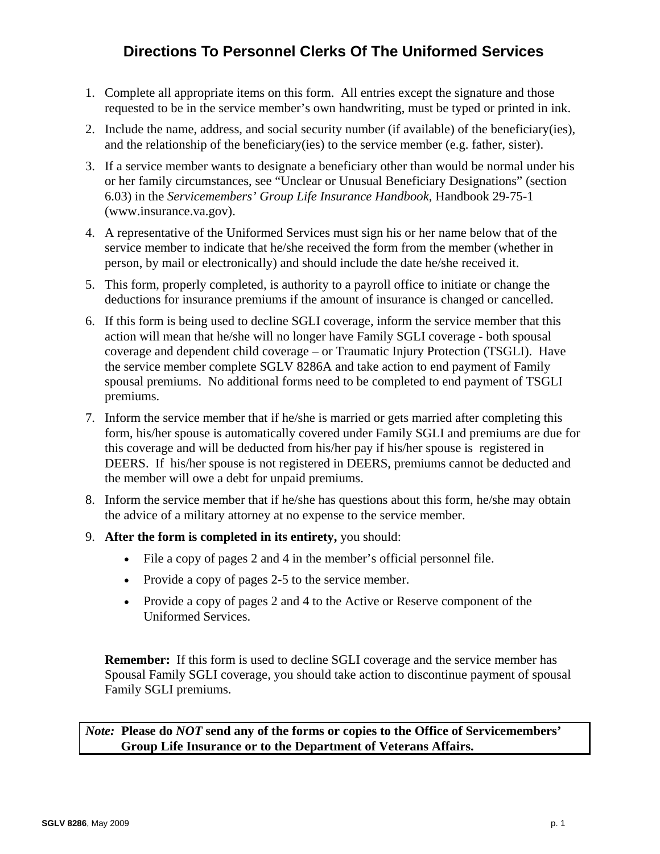# **Directions To Personnel Clerks Of The Uniformed Services**

- 1. Complete all appropriate items on this form. All entries except the signature and those requested to be in the service member's own handwriting, must be typed or printed in ink.
- 2. Include the name, address, and social security number (if available) of the beneficiary(ies), and the relationship of the beneficiary(ies) to the service member (e.g. father, sister).
- 3. If a service member wants to designate a beneficiary other than would be normal under his or her family circumstances, see "Unclear or Unusual Beneficiary Designations" (section 6.03) in the *Servicemembers' Group Life Insurance Handbook*, Handbook 29-75-1 (www.insurance.va.gov).
- 4. A representative of the Uniformed Services must sign his or her name below that of the service member to indicate that he/she received the form from the member (whether in person, by mail or electronically) and should include the date he/she received it.
- 5. This form, properly completed, is authority to a payroll office to initiate or change the deductions for insurance premiums if the amount of insurance is changed or cancelled.
- 6. If this form is being used to decline SGLI coverage, inform the service member that this action will mean that he/she will no longer have Family SGLI coverage - both spousal coverage and dependent child coverage – or Traumatic Injury Protection (TSGLI). Have the service member complete SGLV 8286A and take action to end payment of Family spousal premiums. No additional forms need to be completed to end payment of TSGLI premiums.
- 7. Inform the service member that if he/she is married or gets married after completing this form, his/her spouse is automatically covered under Family SGLI and premiums are due for this coverage and will be deducted from his/her pay if his/her spouse is registered in DEERS. If his/her spouse is not registered in DEERS, premiums cannot be deducted and the member will owe a debt for unpaid premiums.
- 8. Inform the service member that if he/she has questions about this form, he/she may obtain the advice of a military attorney at no expense to the service member.
- 9. **After the form is completed in its entirety,** you should:
	- File a copy of pages 2 and 4 in the member's official personnel file.
	- Provide a copy of pages 2-5 to the service member.
	- Provide a copy of pages 2 and 4 to the Active or Reserve component of the Uniformed Services.

**Remember:** If this form is used to decline SGLI coverage and the service member has Spousal Family SGLI coverage, you should take action to discontinue payment of spousal Family SGLI premiums.

*Note:* **Please do** *NOT* **send any of the forms or copies to the Office of Servicemembers' Group Life Insurance or to the Department of Veterans Affairs.**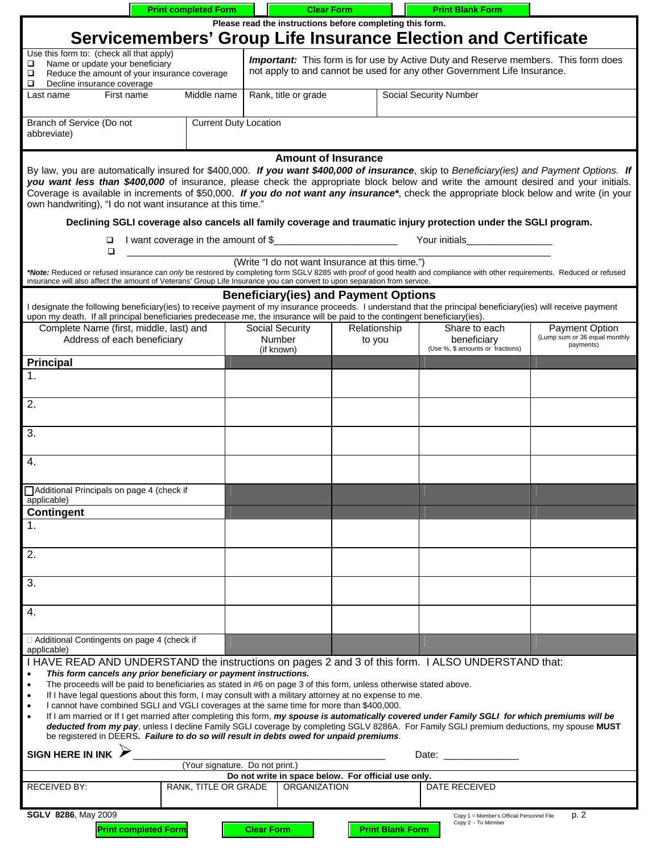|                                                                                                                                                                                                                                                                                                                                                                                                                                                                                                                         | <b>Print completed Form</b>                                                                                                                                                                                           | <b>Clear Form</b>                                                          |                                                                                                                                                                                                                                      | <b>Print Blank Form</b>                                                                                          |                                                                     |  |  |
|-------------------------------------------------------------------------------------------------------------------------------------------------------------------------------------------------------------------------------------------------------------------------------------------------------------------------------------------------------------------------------------------------------------------------------------------------------------------------------------------------------------------------|-----------------------------------------------------------------------------------------------------------------------------------------------------------------------------------------------------------------------|----------------------------------------------------------------------------|--------------------------------------------------------------------------------------------------------------------------------------------------------------------------------------------------------------------------------------|------------------------------------------------------------------------------------------------------------------|---------------------------------------------------------------------|--|--|
|                                                                                                                                                                                                                                                                                                                                                                                                                                                                                                                         |                                                                                                                                                                                                                       | Please read the instructions before completing this form.                  |                                                                                                                                                                                                                                      |                                                                                                                  |                                                                     |  |  |
| Servicemembers' Group Life Insurance Election and Certificate                                                                                                                                                                                                                                                                                                                                                                                                                                                           |                                                                                                                                                                                                                       |                                                                            |                                                                                                                                                                                                                                      |                                                                                                                  |                                                                     |  |  |
| Use this form to: (check all that apply)<br>Name or update your beneficiary<br>□<br>□<br>❏<br>Decline insurance coverage                                                                                                                                                                                                                                                                                                                                                                                                | <b>Important:</b> This form is for use by Active Duty and Reserve members. This form does<br>not apply to and cannot be used for any other Government Life Insurance.<br>Reduce the amount of your insurance coverage |                                                                            |                                                                                                                                                                                                                                      |                                                                                                                  |                                                                     |  |  |
| Last name<br>First name                                                                                                                                                                                                                                                                                                                                                                                                                                                                                                 | Middle name                                                                                                                                                                                                           | Rank, title or grade<br>Social Security Number                             |                                                                                                                                                                                                                                      |                                                                                                                  |                                                                     |  |  |
| Branch of Service (Do not<br>abbreviate)                                                                                                                                                                                                                                                                                                                                                                                                                                                                                | <b>Current Duty Location</b>                                                                                                                                                                                          |                                                                            |                                                                                                                                                                                                                                      |                                                                                                                  |                                                                     |  |  |
| <b>Amount of Insurance</b><br>By law, you are automatically insured for \$400,000. If you want \$400,000 of insurance, skip to Beneficiary(ies) and Payment Options. If<br>you want less than \$400,000 of insurance, please check the appropriate block below and write the amount desired and your initials.<br>Coverage is available in increments of \$50,000. If you do not want any insurance*, check the appropriate block below and write (in your<br>own handwriting), "I do not want insurance at this time." |                                                                                                                                                                                                                       |                                                                            |                                                                                                                                                                                                                                      |                                                                                                                  |                                                                     |  |  |
|                                                                                                                                                                                                                                                                                                                                                                                                                                                                                                                         |                                                                                                                                                                                                                       |                                                                            |                                                                                                                                                                                                                                      | Declining SGLI coverage also cancels all family coverage and traumatic injury protection under the SGLI program. |                                                                     |  |  |
| $\Box$<br>$\Box$                                                                                                                                                                                                                                                                                                                                                                                                                                                                                                        |                                                                                                                                                                                                                       | I want coverage in the amount of \$                                        | Your initials <b>William Street Street Street Street Street Street Street Street Street Street Street Street Street Street Street Street Street Street Street Street Street Street Street Street Street Street Street Street Str</b> |                                                                                                                  |                                                                     |  |  |
| (Write "I do not want Insurance at this time.")<br>*Note: Reduced or refused insurance can only be restored by completing form SGLV 8285 with proof of good health and compliance with other requirements. Reduced or refused<br>insurance will also affect the amount of Veterans' Group Life Insurance you can convert to upon separation from service.                                                                                                                                                               |                                                                                                                                                                                                                       |                                                                            |                                                                                                                                                                                                                                      |                                                                                                                  |                                                                     |  |  |
| <b>Beneficiary (ies) and Payment Options</b><br>I designate the following beneficiary(ies) to receive payment of my insurance proceeds. I understand that the principal beneficiary(ies) will receive payment<br>upon my death. If all principal beneficiaries predecease me, the insurance will be paid to the contingent beneficiary(ies).                                                                                                                                                                            |                                                                                                                                                                                                                       |                                                                            |                                                                                                                                                                                                                                      |                                                                                                                  |                                                                     |  |  |
| Complete Name (first, middle, last) and<br>Address of each beneficiary                                                                                                                                                                                                                                                                                                                                                                                                                                                  |                                                                                                                                                                                                                       | <b>Social Security</b><br>Number<br>(if known)                             | Relationship<br>to you                                                                                                                                                                                                               | Share to each<br>beneficiary<br>(Use %, \$ amounts or fractions)                                                 | <b>Payment Option</b><br>(Lump sum or 36 equal monthly<br>payments) |  |  |
| <b>Principal</b>                                                                                                                                                                                                                                                                                                                                                                                                                                                                                                        |                                                                                                                                                                                                                       |                                                                            |                                                                                                                                                                                                                                      |                                                                                                                  |                                                                     |  |  |
|                                                                                                                                                                                                                                                                                                                                                                                                                                                                                                                         |                                                                                                                                                                                                                       |                                                                            |                                                                                                                                                                                                                                      |                                                                                                                  |                                                                     |  |  |
| $\overline{2}$ .                                                                                                                                                                                                                                                                                                                                                                                                                                                                                                        |                                                                                                                                                                                                                       |                                                                            |                                                                                                                                                                                                                                      |                                                                                                                  |                                                                     |  |  |
| 3.                                                                                                                                                                                                                                                                                                                                                                                                                                                                                                                      |                                                                                                                                                                                                                       |                                                                            |                                                                                                                                                                                                                                      |                                                                                                                  |                                                                     |  |  |
| $\overline{4}$ .                                                                                                                                                                                                                                                                                                                                                                                                                                                                                                        |                                                                                                                                                                                                                       |                                                                            |                                                                                                                                                                                                                                      |                                                                                                                  |                                                                     |  |  |
| Additional Principals on page 4 (check if<br>applicable)                                                                                                                                                                                                                                                                                                                                                                                                                                                                |                                                                                                                                                                                                                       |                                                                            |                                                                                                                                                                                                                                      |                                                                                                                  |                                                                     |  |  |
| <b>Contingent</b>                                                                                                                                                                                                                                                                                                                                                                                                                                                                                                       |                                                                                                                                                                                                                       |                                                                            |                                                                                                                                                                                                                                      |                                                                                                                  |                                                                     |  |  |
|                                                                                                                                                                                                                                                                                                                                                                                                                                                                                                                         |                                                                                                                                                                                                                       |                                                                            |                                                                                                                                                                                                                                      |                                                                                                                  |                                                                     |  |  |
| $\overline{2}$ .                                                                                                                                                                                                                                                                                                                                                                                                                                                                                                        |                                                                                                                                                                                                                       |                                                                            |                                                                                                                                                                                                                                      |                                                                                                                  |                                                                     |  |  |
| 3.                                                                                                                                                                                                                                                                                                                                                                                                                                                                                                                      |                                                                                                                                                                                                                       |                                                                            |                                                                                                                                                                                                                                      |                                                                                                                  |                                                                     |  |  |
| 4.                                                                                                                                                                                                                                                                                                                                                                                                                                                                                                                      |                                                                                                                                                                                                                       |                                                                            |                                                                                                                                                                                                                                      |                                                                                                                  |                                                                     |  |  |
| □ Additional Contingents on page 4 (check if<br>applicable)                                                                                                                                                                                                                                                                                                                                                                                                                                                             |                                                                                                                                                                                                                       |                                                                            |                                                                                                                                                                                                                                      |                                                                                                                  |                                                                     |  |  |
|                                                                                                                                                                                                                                                                                                                                                                                                                                                                                                                         |                                                                                                                                                                                                                       |                                                                            |                                                                                                                                                                                                                                      |                                                                                                                  |                                                                     |  |  |
| I HAVE READ AND UNDERSTAND the instructions on pages 2 and 3 of this form. I ALSO UNDERSTAND that:<br>This form cancels any prior beneficiary or payment instructions.<br>$\bullet$                                                                                                                                                                                                                                                                                                                                     |                                                                                                                                                                                                                       |                                                                            |                                                                                                                                                                                                                                      |                                                                                                                  |                                                                     |  |  |
| The proceeds will be paid to beneficiaries as stated in #6 on page 3 of this form, unless otherwise stated above.<br>$\bullet$                                                                                                                                                                                                                                                                                                                                                                                          |                                                                                                                                                                                                                       |                                                                            |                                                                                                                                                                                                                                      |                                                                                                                  |                                                                     |  |  |
| If I have legal questions about this form, I may consult with a military attorney at no expense to me.<br>I cannot have combined SGLI and VGLI coverages at the same time for more than \$400,000.<br>$\bullet$                                                                                                                                                                                                                                                                                                         |                                                                                                                                                                                                                       |                                                                            |                                                                                                                                                                                                                                      |                                                                                                                  |                                                                     |  |  |
| If I am married or If I get married after completing this form, my spouse is automatically covered under Family SGLI for which premiums will be<br>deducted from my pay, unless I decline Family SGLI coverage by completing SGLV 8286A. For Family SGLI premium deductions, my spouse MUST<br>be registered in DEERS. Failure to do so will result in debts owed for unpaid premiums.                                                                                                                                  |                                                                                                                                                                                                                       |                                                                            |                                                                                                                                                                                                                                      |                                                                                                                  |                                                                     |  |  |
| <b>SIGN HERE IN INK</b><br>Date: <u>Date:</u>                                                                                                                                                                                                                                                                                                                                                                                                                                                                           |                                                                                                                                                                                                                       |                                                                            |                                                                                                                                                                                                                                      |                                                                                                                  |                                                                     |  |  |
| (Your signature. Do not print.)                                                                                                                                                                                                                                                                                                                                                                                                                                                                                         |                                                                                                                                                                                                                       |                                                                            |                                                                                                                                                                                                                                      |                                                                                                                  |                                                                     |  |  |
| <b>RECEIVED BY:</b>                                                                                                                                                                                                                                                                                                                                                                                                                                                                                                     | RANK, TITLE OR GRADE                                                                                                                                                                                                  | Do not write in space below. For official use only.<br><b>ORGANIZATION</b> |                                                                                                                                                                                                                                      | DATE RECEIVED                                                                                                    |                                                                     |  |  |
| <b>SGLV 8286, May 2009</b>                                                                                                                                                                                                                                                                                                                                                                                                                                                                                              |                                                                                                                                                                                                                       |                                                                            |                                                                                                                                                                                                                                      |                                                                                                                  | p. 2                                                                |  |  |
| <b>Print completed Form</b>                                                                                                                                                                                                                                                                                                                                                                                                                                                                                             |                                                                                                                                                                                                                       | <b>Clear Form</b>                                                          | <b>Print Blank Form</b>                                                                                                                                                                                                              | Copy 1 = Member's Official Personnel File<br>Copy 2 - To Member                                                  |                                                                     |  |  |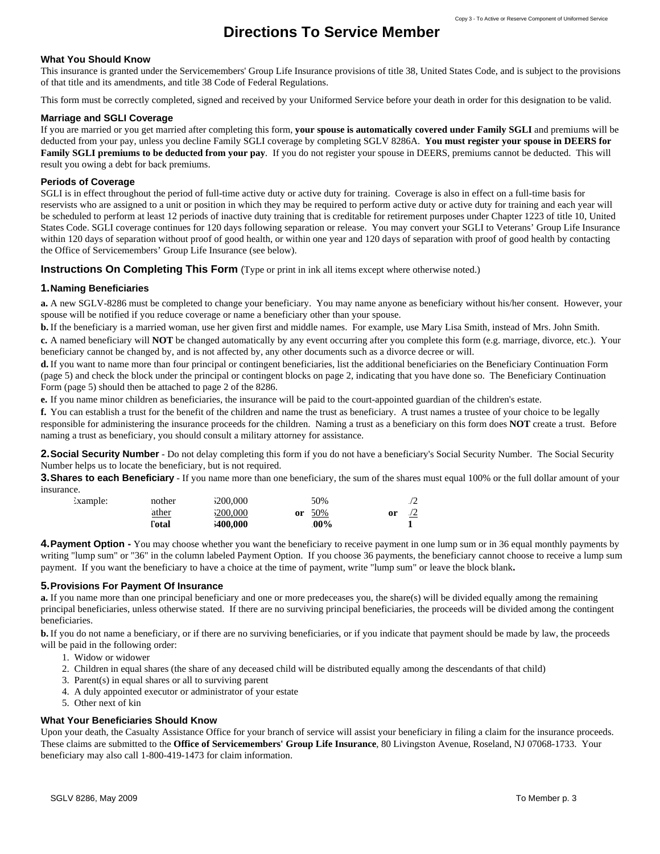# **Directions To Service Member**

#### **What You Should Know**

This insurance is granted under the Servicemembers' Group Life Insurance provisions of title 38, United States Code, and is subject to the provisions of that title and its amendments, and title 38 Code of Federal Regulations.

This form must be correctly completed, signed and received by your Uniformed Service before your death in order for this designation to be valid.

#### **Marriage and SGLI Coverage**

If you are married or you get married after completing this form, your spouse is automatically covered under Family SGLI and premiums will be deducted from your pay, unless you decline Family SGLI coverage by completing SGLV 8286A. You must register your spouse in DEERS for Family SGLI premiums to be deducted from your pay. If you do not register your spouse in DEERS, premiums cannot be deducted. This will result you owing a debt for back premiums.

#### **Periods of Coverage**

reservists who are assigned to a unit or position in which they may be required to perform active duty or active duty for training and each year will be scheduled to perform at least 12 periods of inactive duty training that is creditable for retirement purposes under Chapter 1223 of title 10, United States Code. SGLI coverage continues for 120 days following separation or release. You may convert your SGLI to Veterans' Group Life Insurance within 120 days of separation without proof of good health, or within one year and 120 days of separation with proof of good health by contacting the Office of Ser vicemembers' Group Life Insurance (see below). SGLI is in effect throughout the period of full-time active duty or active duty for training. Coverage is also in effect on a full-time basis for

**Instructions On Completing This Form** (Type or print in ink all items except where otherwise noted.)

#### **1. Naming Beneficiaries**

**a.** A new SGLV-8286 must be completed to change your beneficiary. You may name anyone as beneficiary without his/her consent. However, your spouse will be notified if you reduce coverage or name a beneficiary other than your spouse.

**b.** If the beneficiary is a married woman, use her given first and middle names. For example, use Mary Lisa Smith, instead of Mrs. John Smith.

c. A named beneficiary will **NOT** be changed automatically by any event occurring after you complete this form (e.g. marriage, divorce, etc.). Your beneficiary cannot be changed by, and is not affected by, any other documents such as a divorce decree or will.

d. If you want to name more than four principal or contingent beneficiaries, list the additional beneficiaries on the Beneficiary Continuation Form (page 5) and check the block under the principal or contingent blocks on page 2, indicating that you have done so. The Beneficiary Continuation Form (page 5) should then be attached to page 2 of the 8286.

**.** If you name minor children as beneficiaries, the insurance will be paid to the court-appointed guardian of the children's estat **e** e.

You can establish a trust for the benefit of the children and name the trust as beneficiary. A trust names a trustee of your choice to be legally **f.**  responsible for administering the insurance proceeds for the children. Naming a trust as a beneficiary on this form does **NOT** create a trust. Before naming a trust as beneficiary, you should consult a military attorney for assistance.

2. Social Security Number - Do not delay completing this form if you do not have a beneficiary's Social Security Number. The Social Security Number helps us to locate the beneficiary, but is not required.

**3. Shares to each Beneficiary** - If you name more than one beneficiary, the sum of the shares must equal 100% or the full dollar amount of your insurance.

| Example: | nother | <b>200,000</b>   | 50%       | $\sqrt{2}$ |
|----------|--------|------------------|-----------|------------|
|          | ather  | <b>200,000</b>   | 50%<br>or | or         |
|          | l'otal | <b>\$400,000</b> | .00%      |            |

**4. Payment Option -** You may choose whether you want the beneficiary to receive payment in one lump sum or in 36 equal monthly payments by writing "lump sum" or "36" in the column labeled Payment Option. If you choose 36 payments, the beneficiary cannot choose to receive a lump sum payment. If you want the beneficiary to have a choice at the time of payment, write "lump sum" or leave the block blank**.** 

#### **5. Provisions For Payment Of Insurance**

**a.** If you name more than one principal beneficiary and one or more predeceases you, the share(s) will be divided equally among the remaining principal beneficiaries, unless otherwise stated. If there are no surviving principal beneficiaries, the proceeds will be divided among the contingent beneficiaries.

**b.** If you do not name a beneficiary, or if there are no surviving beneficiaries, or if you indicate that payment should be made by law, the proceeds will be paid in the following order:

- 1. Widow or widower
- 2. Children in equal shares (the share of any deceased child will be distributed equally among the descendants of that child)
- 3. Parent(s) in equal shares or all to surviving parent
- 4. A duly appointed executor or administrator of your estate
- 5. Other next of kin

#### **W hat Your Beneficiaries Should Know**

U pon your death, the Casualty Assistance Office for your branch of service will assist your beneficiary in filing a claim for the insurance proceeds. These claims are submitted to the Office of Servicemembers' Group Life Insurance, 80 Livingston Avenue, Roseland, NJ 07068-1733. Your beneficiary may also call 1-800-419-1473 for claim information.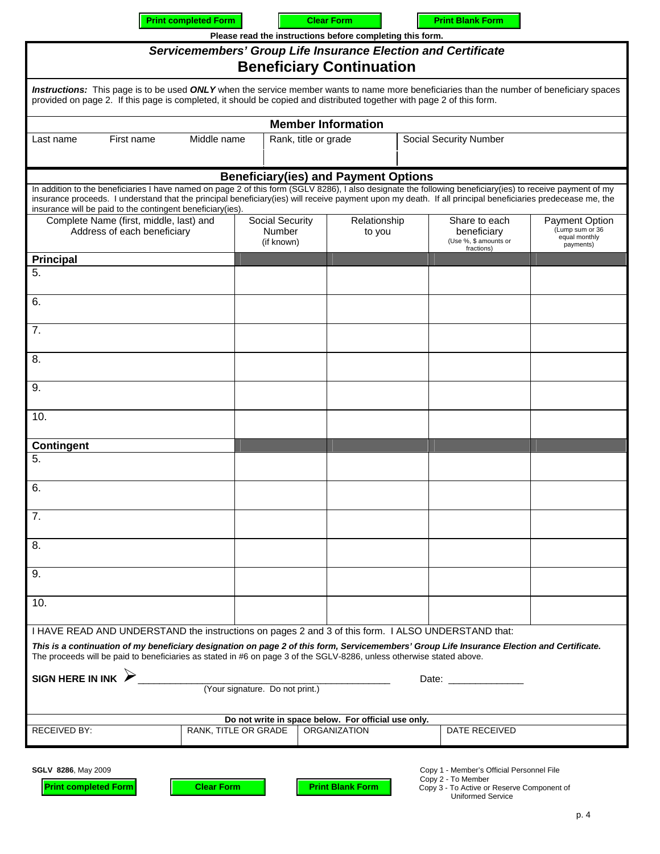|                                                                                                                                                                                                                                                                                                                                                                                         | <b>Print completed Form</b> |                                                              | <b>Clear Form</b>                                                        | Please read the instructions before completing this form. |                                                                     | <b>Print Blank Form</b>                   |                                                                        |  |
|-----------------------------------------------------------------------------------------------------------------------------------------------------------------------------------------------------------------------------------------------------------------------------------------------------------------------------------------------------------------------------------------|-----------------------------|--------------------------------------------------------------|--------------------------------------------------------------------------|-----------------------------------------------------------|---------------------------------------------------------------------|-------------------------------------------|------------------------------------------------------------------------|--|
| Servicemembers' Group Life Insurance Election and Certificate<br><b>Beneficiary Continuation</b>                                                                                                                                                                                                                                                                                        |                             |                                                              |                                                                          |                                                           |                                                                     |                                           |                                                                        |  |
| Instructions: This page is to be used ONLY when the service member wants to name more beneficiaries than the number of beneficiary spaces<br>provided on page 2. If this page is completed, it should be copied and distributed together with page 2 of this form.                                                                                                                      |                             |                                                              |                                                                          |                                                           |                                                                     |                                           |                                                                        |  |
| <b>Member Information</b>                                                                                                                                                                                                                                                                                                                                                               |                             |                                                              |                                                                          |                                                           |                                                                     |                                           |                                                                        |  |
| First name<br>Last name                                                                                                                                                                                                                                                                                                                                                                 | Middle name                 |                                                              | Rank, title or grade                                                     |                                                           | <b>Social Security Number</b>                                       |                                           |                                                                        |  |
|                                                                                                                                                                                                                                                                                                                                                                                         |                             |                                                              |                                                                          | <b>Beneficiary(ies) and Payment Options</b>               |                                                                     |                                           |                                                                        |  |
| In addition to the beneficiaries I have named on page 2 of this form (SGLV 8286), I also designate the following beneficiary(ies) to receive payment of my<br>insurance proceeds. I understand that the principal beneficiary(ies) will receive payment upon my death. If all principal beneficiaries predecease me, the<br>insurance will be paid to the contingent beneficiary (ies). |                             |                                                              |                                                                          |                                                           |                                                                     |                                           |                                                                        |  |
| Complete Name (first, middle, last) and<br>Address of each beneficiary                                                                                                                                                                                                                                                                                                                  |                             |                                                              | Social Security<br>Relationship<br><b>Number</b><br>to you<br>(if known) |                                                           | Share to each<br>beneficiary<br>(Use %, \$ amounts or<br>fractions) |                                           | <b>Payment Option</b><br>(Lump sum or 36<br>equal monthly<br>payments) |  |
| <b>Principal</b>                                                                                                                                                                                                                                                                                                                                                                        |                             |                                                              |                                                                          |                                                           |                                                                     |                                           |                                                                        |  |
| 5.                                                                                                                                                                                                                                                                                                                                                                                      |                             |                                                              |                                                                          |                                                           |                                                                     |                                           |                                                                        |  |
| 6.                                                                                                                                                                                                                                                                                                                                                                                      |                             |                                                              |                                                                          |                                                           |                                                                     |                                           |                                                                        |  |
| 7.                                                                                                                                                                                                                                                                                                                                                                                      |                             |                                                              |                                                                          |                                                           |                                                                     |                                           |                                                                        |  |
| 8.                                                                                                                                                                                                                                                                                                                                                                                      |                             |                                                              |                                                                          |                                                           |                                                                     |                                           |                                                                        |  |
| 9.                                                                                                                                                                                                                                                                                                                                                                                      |                             |                                                              |                                                                          |                                                           |                                                                     |                                           |                                                                        |  |
| 10.                                                                                                                                                                                                                                                                                                                                                                                     |                             |                                                              |                                                                          |                                                           |                                                                     |                                           |                                                                        |  |
| <b>Contingent</b>                                                                                                                                                                                                                                                                                                                                                                       |                             |                                                              |                                                                          |                                                           |                                                                     |                                           |                                                                        |  |
| 5.                                                                                                                                                                                                                                                                                                                                                                                      |                             |                                                              |                                                                          |                                                           |                                                                     |                                           |                                                                        |  |
| 6.                                                                                                                                                                                                                                                                                                                                                                                      |                             |                                                              |                                                                          |                                                           |                                                                     |                                           |                                                                        |  |
| 7.                                                                                                                                                                                                                                                                                                                                                                                      |                             |                                                              |                                                                          |                                                           |                                                                     |                                           |                                                                        |  |
| 8.                                                                                                                                                                                                                                                                                                                                                                                      |                             |                                                              |                                                                          |                                                           |                                                                     |                                           |                                                                        |  |
| 9.                                                                                                                                                                                                                                                                                                                                                                                      |                             |                                                              |                                                                          |                                                           |                                                                     |                                           |                                                                        |  |
| 10.                                                                                                                                                                                                                                                                                                                                                                                     |                             |                                                              |                                                                          |                                                           |                                                                     |                                           |                                                                        |  |
| I HAVE READ AND UNDERSTAND the instructions on pages 2 and 3 of this form. I ALSO UNDERSTAND that:                                                                                                                                                                                                                                                                                      |                             |                                                              |                                                                          |                                                           |                                                                     |                                           |                                                                        |  |
| This is a continuation of my beneficiary designation on page 2 of this form, Servicemembers' Group Life Insurance Election and Certificate.<br>The proceeds will be paid to beneficiaries as stated in #6 on page 3 of the SGLV-8286, unless otherwise stated above.                                                                                                                    |                             |                                                              |                                                                          |                                                           |                                                                     |                                           |                                                                        |  |
| SIGN HERE IN INK $\triangleright$<br>Date: the contract of the contract of the contract of the contract of the contract of the contract of the contract of the contract of the contract of the contract of the contract of the contract of the contract of the cont                                                                                                                     |                             |                                                              |                                                                          |                                                           |                                                                     |                                           |                                                                        |  |
|                                                                                                                                                                                                                                                                                                                                                                                         |                             | (Your signature. Do not print.)                              |                                                                          |                                                           |                                                                     |                                           |                                                                        |  |
|                                                                                                                                                                                                                                                                                                                                                                                         |                             | Do not write in space below. For official use only.          |                                                                          |                                                           |                                                                     |                                           |                                                                        |  |
| <b>RECEIVED BY:</b>                                                                                                                                                                                                                                                                                                                                                                     |                             | RANK, TITLE OR GRADE<br><b>ORGANIZATION</b><br>DATE RECEIVED |                                                                          |                                                           |                                                                     |                                           |                                                                        |  |
| <b>SGLV 8286, May 2009</b>                                                                                                                                                                                                                                                                                                                                                              |                             |                                                              |                                                                          |                                                           |                                                                     | Copy 1 - Member's Official Personnel File |                                                                        |  |

**Copy 2 - To Member Copy 2 - To Member** 

٦

**Print completed Form Clear Form Transform Print Blank Form** 

**Print completed Form Clear Form Clear Form Print Blank Form Copy** 3 - To Active or Reserve Component of

Uniformed Service